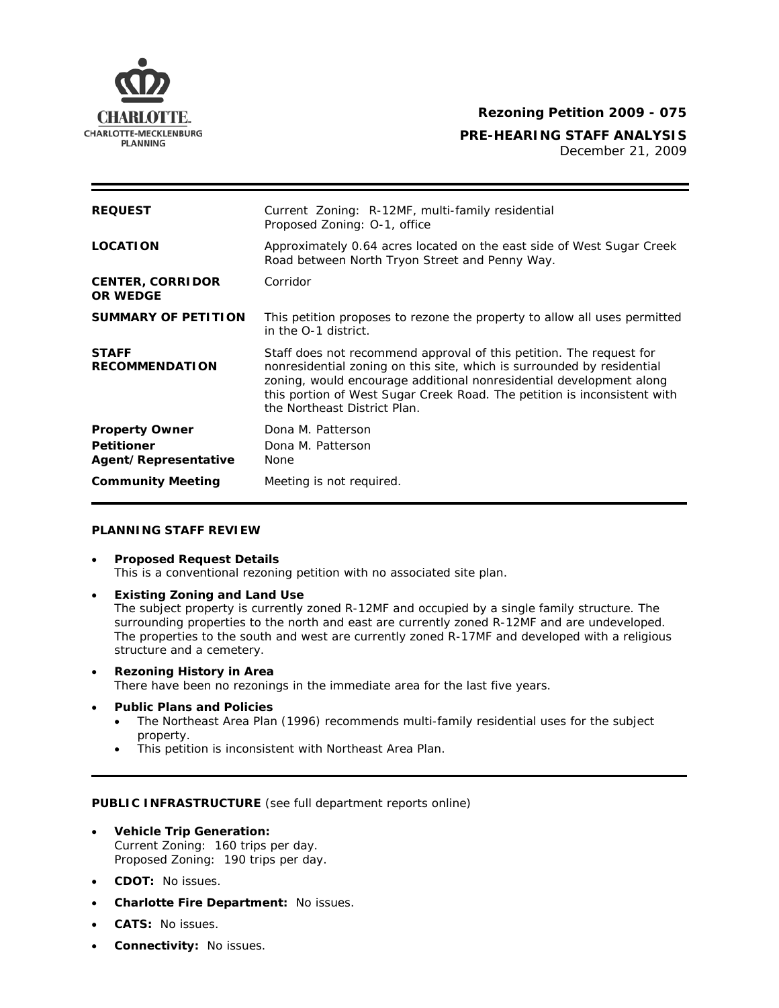

# **Rezoning Petition 2009 - 075**

**PRE-HEARING STAFF ANALYSIS** 

PLANNING<br>December 21, 2009

| <b>REQUEST</b>                                                     | Current Zoning: R-12MF, multi-family residential<br>Proposed Zoning: O-1, office                                                                                                                                                                                                                                                 |
|--------------------------------------------------------------------|----------------------------------------------------------------------------------------------------------------------------------------------------------------------------------------------------------------------------------------------------------------------------------------------------------------------------------|
| <b>LOCATION</b>                                                    | Approximately 0.64 acres located on the east side of West Sugar Creek<br>Road between North Tryon Street and Penny Way.                                                                                                                                                                                                          |
| <b>CENTER, CORRIDOR</b><br><b>OR WEDGE</b>                         | Corridor                                                                                                                                                                                                                                                                                                                         |
| <b>SUMMARY OF PETITION</b>                                         | This petition proposes to rezone the property to allow all uses permitted<br>in the O-1 district.                                                                                                                                                                                                                                |
| <b>STAFF</b><br><b>RECOMMENDATION</b>                              | Staff does not recommend approval of this petition. The request for<br>nonresidential zoning on this site, which is surrounded by residential<br>zoning, would encourage additional nonresidential development along<br>this portion of West Sugar Creek Road. The petition is inconsistent with<br>the Northeast District Plan. |
| <b>Property Owner</b><br><b>Petitioner</b><br>Agent/Representative | Dona M. Patterson<br>Dona M. Patterson<br>None                                                                                                                                                                                                                                                                                   |
| <b>Community Meeting</b>                                           | Meeting is not required.                                                                                                                                                                                                                                                                                                         |

### **PLANNING STAFF REVIEW**

- **Proposed Request Details** This is a conventional rezoning petition with no associated site plan.
- **Existing Zoning and Land Use**

The subject property is currently zoned R-12MF and occupied by a single family structure. The surrounding properties to the north and east are currently zoned R-12MF and are undeveloped. The properties to the south and west are currently zoned R-17MF and developed with a religious structure and a cemetery.

- **Rezoning History in Area**  There have been no rezonings in the immediate area for the last five years.
- **Public Plans and Policies**
	- The *Northeast Area Plan* (1996) recommends multi-family residential uses for the subject property.
	- This petition is inconsistent with *Northeast Area Plan.*

### **PUBLIC INFRASTRUCTURE** (see full department reports online)

- **Vehicle Trip Generation:** Current Zoning: 160 trips per day. Proposed Zoning: 190 trips per day.
- **CDOT:** No issues.
- **Charlotte Fire Department:** No issues.
- **CATS:** No issues.
- **Connectivity:** No issues.